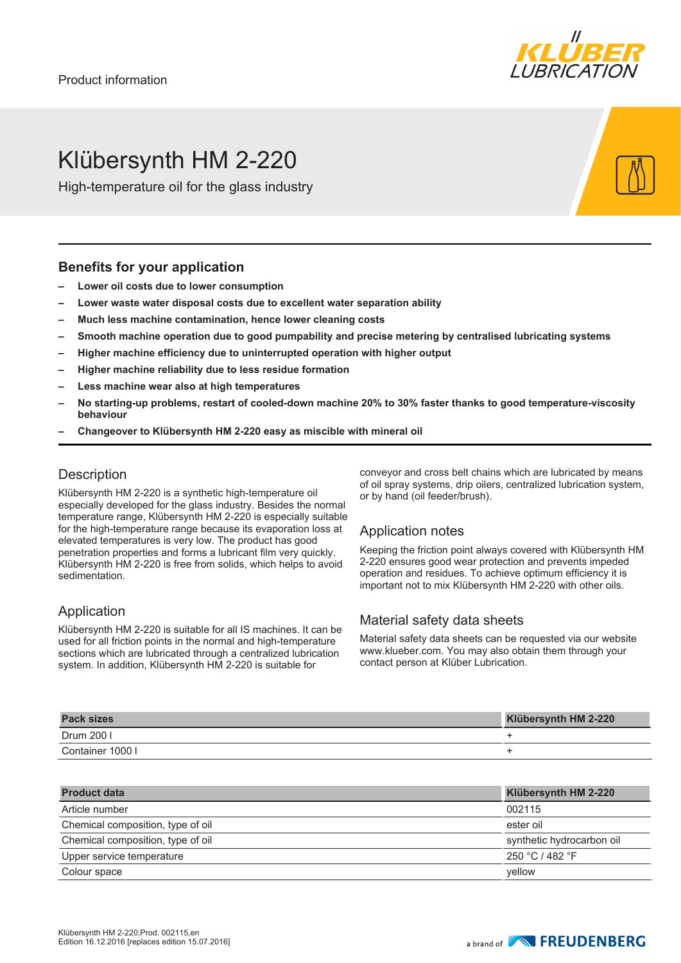

# Klübersynth HM 2-220

High-temperature oil for the glass industry

#### **Benefits for your application**

- **– Lower oil costs due to lower consumption**
- **– Lower waste water disposal costs due to excellent water separation ability**
- **– Much less machine contamination, hence lower cleaning costs**
- **– Smooth machine operation due to good pumpability and precise metering by centralised lubricating systems**
- **– Higher machine efficiency due to uninterrupted operation with higher output**
- **– Higher machine reliability due to less residue formation**
- **– Less machine wear also at high temperatures**
- **– No starting-up problems, restart of cooled-down machine 20% to 30% faster thanks to good temperature-viscosity behaviour**
- **– Changeover to Klübersynth HM 2-220 easy as miscible with mineral oil**

### **Description**

Klübersynth HM 2-220 is a synthetic high-temperature oil especially developed for the glass industry. Besides the normal temperature range, Klübersynth HM 2-220 is especially suitable for the high-temperature range because its evaporation loss at elevated temperatures is very low. The product has good penetration properties and forms a lubricant film very quickly. Klübersynth HM 2-220 is free from solids, which helps to avoid sedimentation.

#### Application

Klübersynth HM 2-220 is suitable for all IS machines. It can be used for all friction points in the normal and high-temperature sections which are lubricated through a centralized lubrication system. In addition, Klübersynth HM 2-220 is suitable for

conveyor and cross belt chains which are lubricated by means of oil spray systems, drip oilers, centralized lubrication system, or by hand (oil feeder/brush).

#### Application notes

Keeping the friction point always covered with Klübersynth HM 2-220 ensures good wear protection and prevents impeded operation and residues. To achieve optimum efficiency it is important not to mix Klübersynth HM 2-220 with other oils.

#### Material safety data sheets

Material safety data sheets can be requested via our website www.klueber.com. You may also obtain them through your contact person at Klüber Lubrication.

| <b>Pack sizes</b> | Klübersynth HM 2-220 |
|-------------------|----------------------|
| Drum 200 l        |                      |
| Container 1000 l  |                      |

| <b>Product data</b>               | Klübersynth HM 2-220      |
|-----------------------------------|---------------------------|
| Article number                    | 002115                    |
| Chemical composition, type of oil | ester oil                 |
| Chemical composition, type of oil | synthetic hydrocarbon oil |
| Upper service temperature         | 250 °C / 482 °F           |
| Colour space                      | vellow                    |